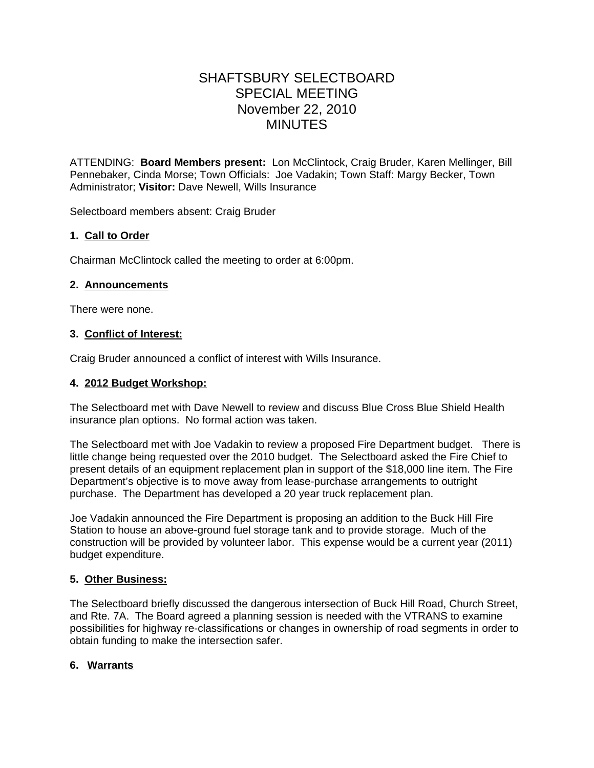# SHAFTSBURY SELECTBOARD SPECIAL MEETING November 22, 2010 MINUTES

ATTENDING: **Board Members present:** Lon McClintock, Craig Bruder, Karen Mellinger, Bill Pennebaker, Cinda Morse; Town Officials: Joe Vadakin; Town Staff: Margy Becker, Town Administrator; **Visitor:** Dave Newell, Wills Insurance

Selectboard members absent: Craig Bruder

# **1. Call to Order**

Chairman McClintock called the meeting to order at 6:00pm.

# **2. Announcements**

There were none.

## **3. Conflict of Interest:**

Craig Bruder announced a conflict of interest with Wills Insurance.

#### **4. 2012 Budget Workshop:**

The Selectboard met with Dave Newell to review and discuss Blue Cross Blue Shield Health insurance plan options. No formal action was taken.

The Selectboard met with Joe Vadakin to review a proposed Fire Department budget. There is little change being requested over the 2010 budget. The Selectboard asked the Fire Chief to present details of an equipment replacement plan in support of the \$18,000 line item. The Fire Department's objective is to move away from lease-purchase arrangements to outright purchase. The Department has developed a 20 year truck replacement plan.

Joe Vadakin announced the Fire Department is proposing an addition to the Buck Hill Fire Station to house an above-ground fuel storage tank and to provide storage. Much of the construction will be provided by volunteer labor. This expense would be a current year (2011) budget expenditure.

## **5. Other Business:**

The Selectboard briefly discussed the dangerous intersection of Buck Hill Road, Church Street, and Rte. 7A. The Board agreed a planning session is needed with the VTRANS to examine possibilities for highway re-classifications or changes in ownership of road segments in order to obtain funding to make the intersection safer.

## **6. Warrants**